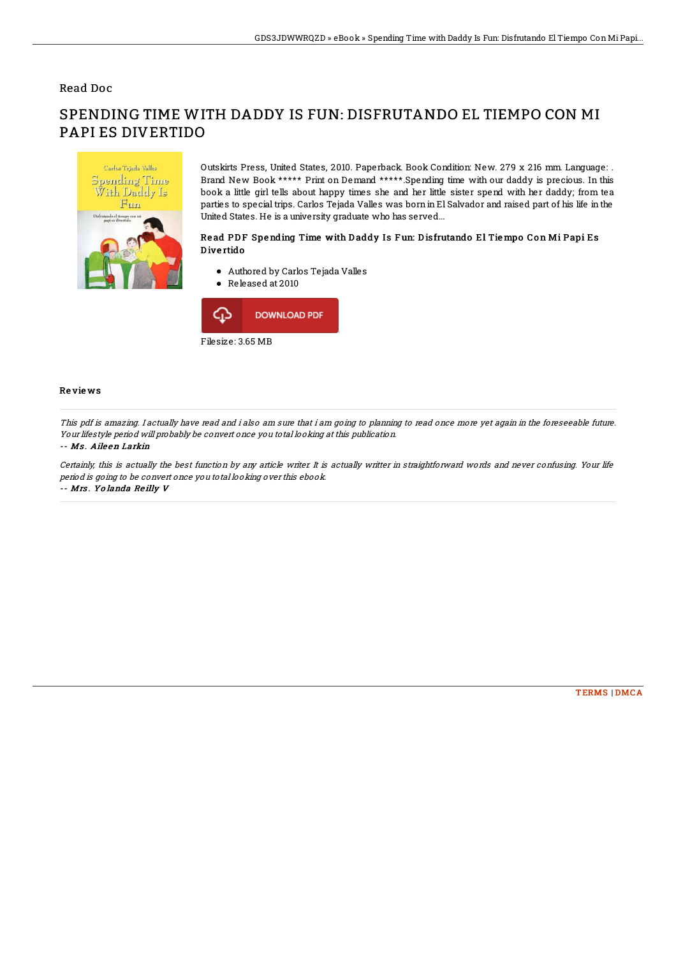## Read Doc

# Carlos Tejada Valles **Spending Time** ith Daddy Is  $Fum$ npo<sub>1</sub>

PAPI ES DIVERTIDO

## Outskirts Press, United States, 2010. Paperback. Book Condition: New. 279 x 216 mm. Language: . Brand New Book \*\*\*\*\* Print on Demand \*\*\*\*\*.Spending time with our daddy is precious. In this book a little girl tells about happy times she and her little sister spend with her daddy; from tea parties to special trips. Carlos Tejada Valles was born in El Salvador and raised part of his life in the

## Read PDF Spending Time with Daddy Is Fun: Disfrutando El Tiempo Con Mi Papi Es D ive rtido

# Authored by Carlos Tejada Valles

SPENDING TIME WITH DADDY IS FUN: DISFRUTANDO EL TIEMPO CON MI

United States. He is a university graduate who has served...

Released at 2010



## Re vie ws

This pdf is amazing. I actually have read and i also am sure that i am going to planning to read once more yet again in the foreseeable future. Your lifestyle period will probably be convert once you total looking at this publication.

#### -- Ms . Aile en Larkin

Certainly, this is actually the best function by any article writer. It is actually writter in straightforward words and never confusing. Your life period is going to be convert once you total looking over this ebook. -- Mrs . Yo landa Re illy V